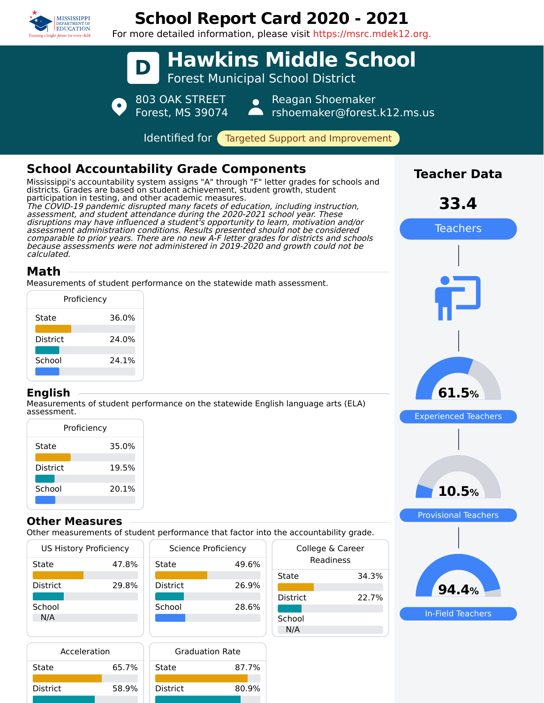

# **School Report Card 2020 - 2021**

For more detailed information, please visit https://msrc.mdek12.org.



#### **Other Measures**

Other measurements of student performance that factor into the accountability grade.

| <b>US History Proficiency</b> |       | Science Proficiency |       | College & Career |       |
|-------------------------------|-------|---------------------|-------|------------------|-------|
| State                         | 47.8% | State               | 49.6% | Readiness        |       |
|                               |       |                     |       | State            | 34.3% |
| District                      | 29.8% | <b>District</b>     | 26.9% |                  |       |
|                               |       |                     |       | <b>District</b>  | 22.7% |
| School                        |       | School              | 28.6% |                  |       |
| N/A                           |       |                     |       | School           |       |
|                               |       |                     |       | N/A              |       |



In-Field Teachers

| Acceleration    |       |   |
|-----------------|-------|---|
| State           | 65.7% | t |
| <b>District</b> | 58.9% |   |
|                 |       |   |

| <b>Graduation Rate</b> |       |  |
|------------------------|-------|--|
| State                  | 87.7% |  |
| <b>District</b>        | 80.9% |  |
|                        |       |  |